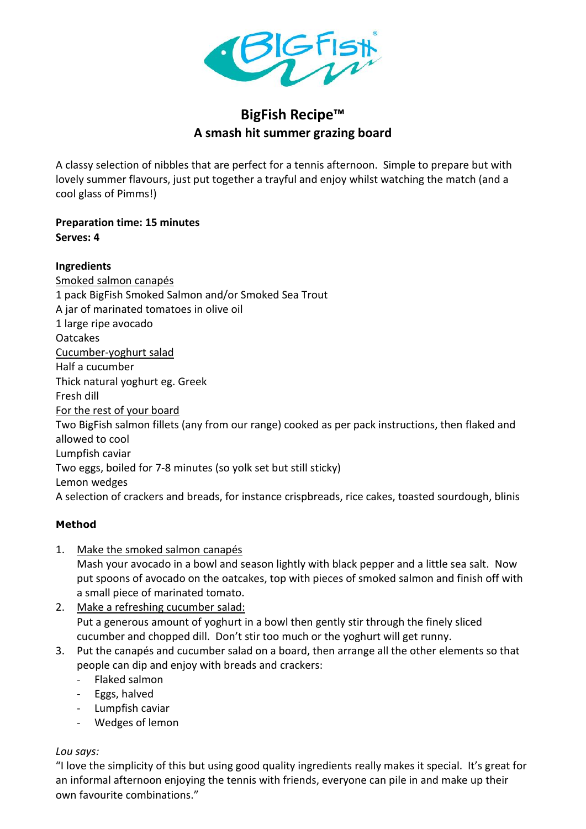

# **BigFish Recipe™ A smash hit summer grazing board**

A classy selection of nibbles that are perfect for a tennis afternoon. Simple to prepare but with lovely summer flavours, just put together a trayful and enjoy whilst watching the match (and a cool glass of Pimms!)

## **Preparation time: 15 minutes Serves: 4**

## **Ingredients**

Smoked salmon canapés 1 pack BigFish Smoked Salmon and/or Smoked Sea Trout A jar of marinated tomatoes in olive oil 1 large ripe avocado Oatcakes Cucumber-yoghurt salad Half a cucumber Thick natural yoghurt eg. Greek Fresh dill For the rest of your board Two BigFish salmon fillets (any from our range) cooked as per pack instructions, then flaked and allowed to cool Lumpfish caviar Two eggs, boiled for 7-8 minutes (so yolk set but still sticky) Lemon wedges A selection of crackers and breads, for instance crispbreads, rice cakes, toasted sourdough, blinis

# **Method**

1. Make the smoked salmon canapés

Mash your avocado in a bowl and season lightly with black pepper and a little sea salt. Now put spoons of avocado on the oatcakes, top with pieces of smoked salmon and finish off with a small piece of marinated tomato.

### 2. Make a refreshing cucumber salad: Put a generous amount of yoghurt in a bowl then gently stir through the finely sliced cucumber and chopped dill. Don't stir too much or the yoghurt will get runny.

- 3. Put the canapés and cucumber salad on a board, then arrange all the other elements so that people can dip and enjoy with breads and crackers:
	- Flaked salmon
	- Eggs, halved
	- Lumpfish caviar
	- Wedges of lemon

### *Lou says:*

"I love the simplicity of this but using good quality ingredients really makes it special. It's great for an informal afternoon enjoying the tennis with friends, everyone can pile in and make up their own favourite combinations."